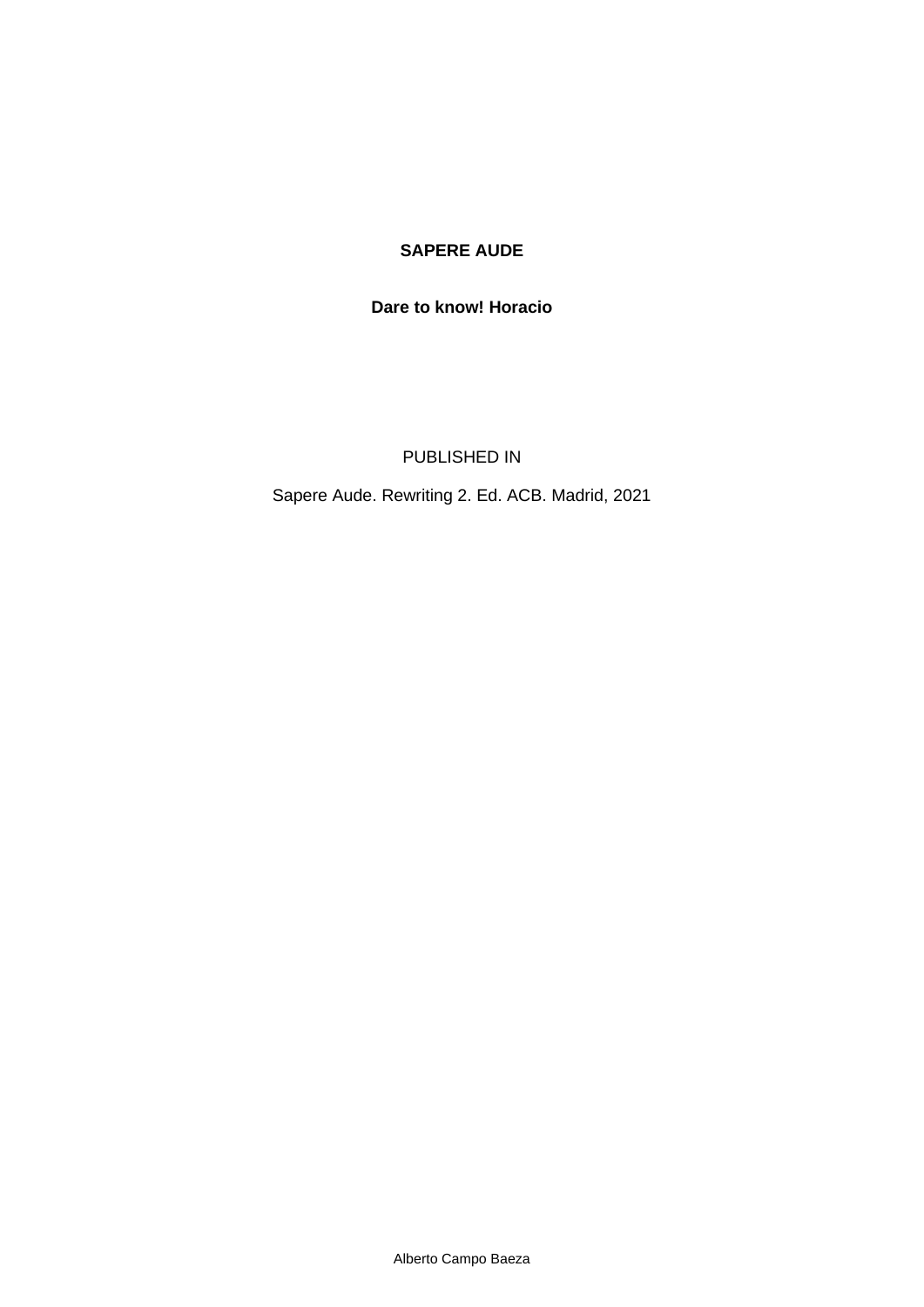## **SAPERE AUDE**

## **Dare to know! Horacio**

PUBLISHED IN

Sapere Aude. Rewriting 2. Ed. ACB. Madrid, 2021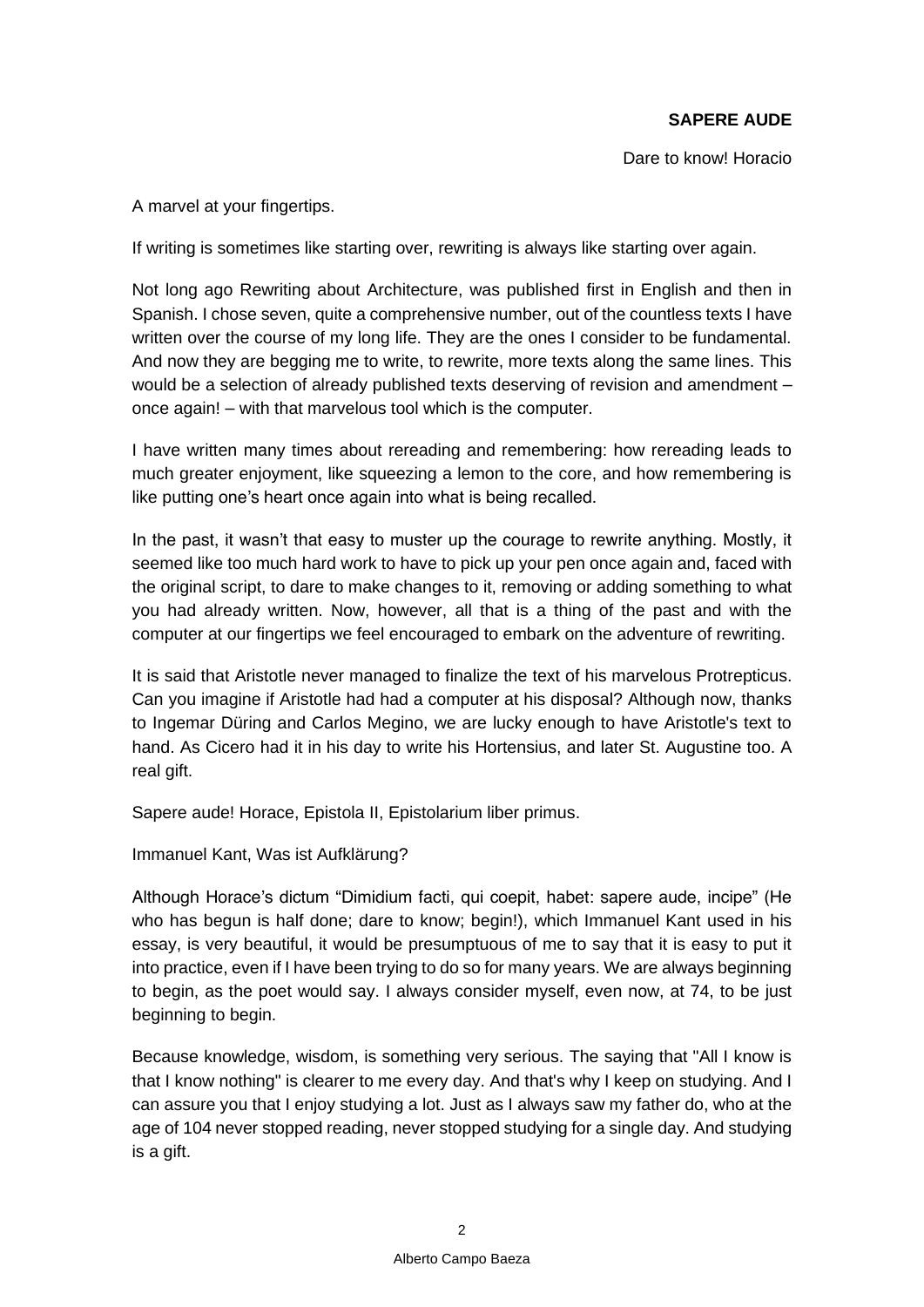Dare to know! Horacio

A marvel at your fingertips.

If writing is sometimes like starting over, rewriting is always like starting over again.

Not long ago *Rewriting about Architecture*, was published first in English and then in Spanish. I chose seven, quite a comprehensive number, out of the countless texts I have written over the course of my long life. They are the ones I consider to be fundamental. And now they are begging me to write, to rewrite, more texts along the same lines. This would be a selection of already published texts deserving of revision and amendment – once again! – with that marvelous tool which is the computer.

I have written many times about rereading and remembering: how rereading leads to much greater enjoyment, like squeezing a lemon to the core, and how remembering is like putting one's heart once again into what is being recalled.

In the past, it wasn't that easy to muster up the courage to rewrite anything. Mostly, it seemed like too much hard work to have to pick up your pen once again and, faced with the original script, to dare to make changes to it, removing or adding something to what you had already written. Now, however, all that is a thing of the past and with the computer at our fingertips we feel encouraged to embark on the adventure of rewriting.

It is said that Aristotle never managed to finalize the text of his marvelous *Protrepticus*. Can you imagine if Aristotle had had a computer at his disposal? Although now, thanks to Ingemar Düring and Carlos Megino, we are lucky enough to have Aristotle's text to hand. As Cicero had it in his day to write his *Hortensius*, and later St. Augustine too. A real gift.

*Sapere aude!* Horace, Epistola II, *Epistolarium liber primus*.

Immanuel Kant, *Was ist Aufklärung?*

Although Horace's dictum "Dimidium facti, qui coepit, habet: sapere aude, incipe" (He who has begun is half done; dare to know; begin!), which Immanuel Kant used in his essay, is very beautiful, it would be presumptuous of me to say that it is easy to put it into practice, even if I have been trying to do so for many years. We are always beginning to begin, as the poet would say. I always consider myself, even now, at 74, to be just beginning to begin.

Because knowledge, wisdom, is something very serious. The saying that "All I know is that I know nothing" is clearer to me every day. And that's why I keep on studying. And I can assure you that I enjoy studying a lot. Just as I always saw my father do, who at the age of 104 never stopped reading, never stopped studying for a single day. And studying is a gift.